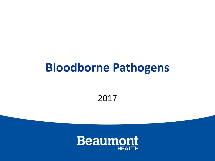#### **Bloodborne Pathogens**

2017

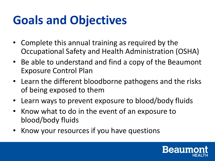# **Goals and Objectives**

- Complete this annual training as required by the Occupational Safety and Health Administration (OSHA)
- Be able to understand and find a copy of the Beaumont Exposure Control Plan
- Learn the different bloodborne pathogens and the risks of being exposed to them
- Learn ways to prevent exposure to blood/body fluids
- Know what to do in the event of an exposure to blood/body fluids
- Know your resources if you have questions

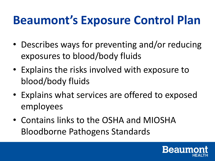#### **Beaumont's Exposure Control Plan**

- Describes ways for preventing and/or reducing exposures to blood/body fluids
- Explains the risks involved with exposure to blood/body fluids
- Explains what services are offered to exposed employees
- Contains links to the OSHA and MIOSHA Bloodborne Pathogens Standards

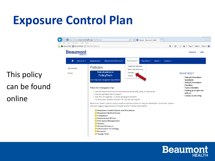#### **Exposure Control Plan**

B http://intranet.beaumonthealth.org/Files/Policies/  $Q - d$ 命 众 **B** Intranet - Beaumont Health File Edit View Favorites Tools Help Secure Mail a Archive Email a Web Slice Gallery **Beaumont Password Fmail** A About Us  $\star$ Applications -Departments/Services -Documents $\sim$ Education  $\sim$ News  $\sim$ Quality  $\sim$ **Diversity Calendar Policies Documents** Mail code directory View all policies in Policies Forms Need Help? **PolicyTech** Forms · Policy & Procedure For help see navigation tips below. **Standards** · Policy & Procedure can be found **Checklist Policy Tech Navigation Tips: · Forms Checklist · Guiding principles for** • Use the Search Function to find documents by title, body or key words policies • Use the alphabet bar to search . Contact us for help • Use the "Arrange By". Current arrange is location . To close your session click the "X". Do not use log off Beaumont Health policies and procedures will be posted as they are developed. Until then, please visit your legacy organization's intranet site for current documents: **Beaumont Health Policies and Procedures Beaumont Medical Group** Compliance **C** Environment Of Care **Emergency Management E** Finance **E** Human Resources Information Technology Research Supply Chain

This policy

online

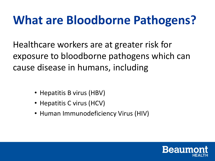#### **What are Bloodborne Pathogens?**

Healthcare workers are at greater risk for exposure to bloodborne pathogens which can cause disease in humans, including

- Hepatitis B virus (HBV)
- Hepatitis C virus (HCV)
- Human Immunodeficiency Virus (HIV)

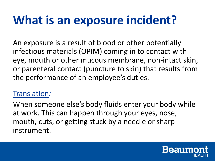#### **What is an exposure incident?**

An exposure is a result of blood or other potentially infectious materials (OPIM) coming in to contact with eye, mouth or other mucous membrane, non-intact skin, or parenteral contact (puncture to skin) that results from the performance of an employee's duties.

#### Translation*:*

When someone else's body fluids enter your body while at work. This can happen through your eyes, nose, mouth, cuts, or getting stuck by a needle or sharp instrument.

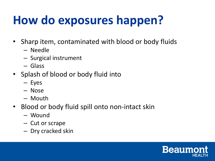# **How do exposures happen?**

- Sharp item, contaminated with blood or body fluids
	- Needle
	- Surgical instrument
	- Glass
- Splash of blood or body fluid into
	- Eyes
	- Nose
	- Mouth
- Blood or body fluid spill onto non-intact skin
	- Wound
	- Cut or scrape
	- Dry cracked skin

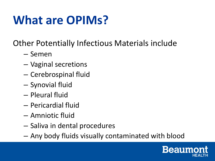## **What are OPIMs?**

Other Potentially Infectious Materials include

- Semen
- Vaginal secretions
- Cerebrospinal fluid
- Synovial fluid
- Pleural fluid
- Pericardial fluid
- Amniotic fluid
- Saliva in dental procedures
- Any body fluids visually contaminated with blood

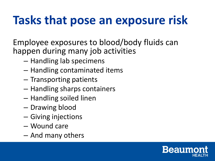# **Tasks that pose an exposure risk**

Employee exposures to blood/body fluids can happen during many job activities

- Handling lab specimens
- Handling contaminated items
- Transporting patients
- Handling sharps containers
- Handling soiled linen
- Drawing blood
- Giving injections
- Wound care
- And many others

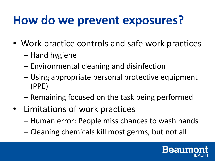### **How do we prevent exposures?**

- Work practice controls and safe work practices
	- Hand hygiene
	- Environmental cleaning and disinfection
	- Using appropriate personal protective equipment (PPE)
	- Remaining focused on the task being performed
- Limitations of work practices
	- Human error: People miss chances to wash hands
	- Cleaning chemicals kill most germs, but not all

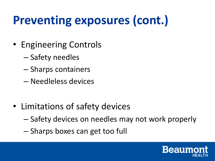# **Preventing exposures (cont.)**

- Engineering Controls
	- Safety needles
	- Sharps containers
	- Needleless devices
- Limitations of safety devices
	- Safety devices on needles may not work properly
	- Sharps boxes can get too full

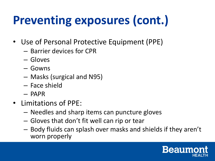# **Preventing exposures (cont.)**

- Use of Personal Protective Equipment (PPE)
	- Barrier devices for CPR
	- Gloves
	- Gowns
	- Masks (surgical and N95)
	- Face shield
	- PAPR
- Limitations of PPE:
	- Needles and sharp items can puncture gloves
	- Gloves that don't fit well can rip or tear
	- Body fluids can splash over masks and shields if they aren't worn properly

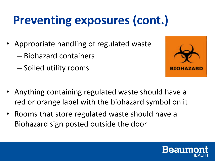# **Preventing exposures (cont.)**

- Appropriate handling of regulated waste
	- Biohazard containers
	- Soiled utility rooms



- Anything containing regulated waste should have a red or orange label with the biohazard symbol on it
- Rooms that store regulated waste should have a Biohazard sign posted outside the door

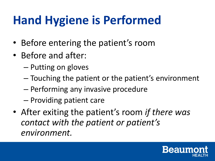# **Hand Hygiene is Performed**

- Before entering the patient's room
- Before and after:
	- Putting on gloves
	- Touching the patient or the patient's environment
	- Performing any invasive procedure
	- Providing patient care
- After exiting the patient's room *if there was contact with the patient or patient's environment.*

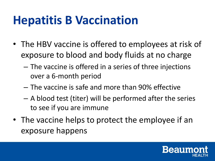#### **Hepatitis B Vaccination**

- The HBV vaccine is offered to employees at risk of exposure to blood and body fluids at no charge
	- The vaccine is offered in a series of three injections over a 6-month period
	- The vaccine is safe and more than 90% effective
	- A blood test (titer) will be performed after the series to see if you are immune
- The vaccine helps to protect the employee if an exposure happens

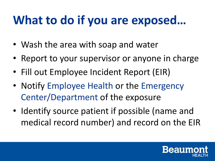#### **What to do if you are exposed…**

- Wash the area with soap and water
- Report to your supervisor or anyone in charge
- Fill out Employee Incident Report (EIR)
- Notify Employee Health or the Emergency Center/Department of the exposure
- Identify source patient if possible (name and medical record number) and record on the EIR

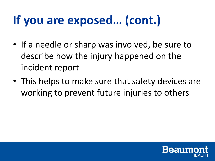# **If you are exposed… (cont.)**

- If a needle or sharp was involved, be sure to describe how the injury happened on the incident report
- This helps to make sure that safety devices are working to prevent future injuries to others

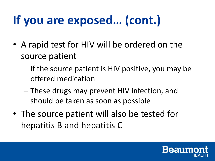# **If you are exposed… (cont.)**

- A rapid test for HIV will be ordered on the source patient
	- If the source patient is HIV positive, you may be offered medication
	- These drugs may prevent HIV infection, and should be taken as soon as possible
- The source patient will also be tested for hepatitis B and hepatitis C

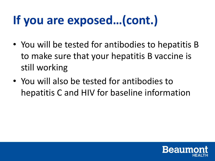# **If you are exposed…(cont.)**

- You will be tested for antibodies to hepatitis B to make sure that your hepatitis B vaccine is still working
- You will also be tested for antibodies to hepatitis C and HIV for baseline information

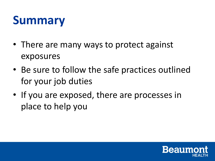#### **Summary**

- There are many ways to protect against exposures
- Be sure to follow the safe practices outlined for your job duties
- If you are exposed, there are processes in place to help you

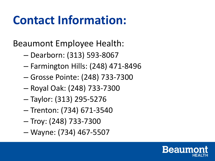### **Contact Information:**

Beaumont Employee Health:

- Dearborn: (313) 593-8067
- Farmington Hills: (248) 471-8496
- Grosse Pointe: (248) 733-7300
- Royal Oak: (248) 733-7300
- Taylor: (313) 295-5276
- Trenton: (734) 671-3540
- Troy: (248) 733-7300
- Wayne: (734) 467-5507